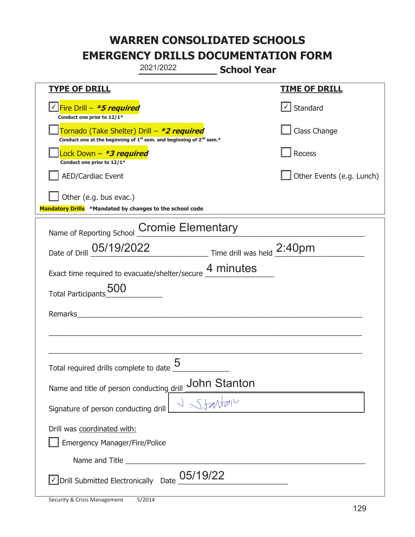|                                                                                    | 2021/2022                                                                                   | <b>School Year</b> |                           |
|------------------------------------------------------------------------------------|---------------------------------------------------------------------------------------------|--------------------|---------------------------|
| <b>TYPE OF DRILL</b>                                                               |                                                                                             |                    | <b>TIME OF DRILL</b>      |
| <u>√ Fire Drill – <i>*5 required</i></u><br>Conduct one prior to 12/1*             |                                                                                             |                    | $\cup$ Standard           |
| Tornado (Take Shelter) Drill – *2 required                                         | Conduct one at the beginning of 1 <sup>st</sup> sem. and beginning of 2 <sup>nd</sup> sem.* |                    | Class Change              |
| Lock Down - <b>*3 required</b><br>Conduct one prior to 12/1*                       |                                                                                             |                    | Recess                    |
| <b>AED/Cardiac Event</b>                                                           |                                                                                             |                    | Other Events (e.g. Lunch) |
| Other (e.g. bus evac.)<br>Mandatory Drills *Mandated by changes to the school code |                                                                                             |                    |                           |
| Name of Reporting School Cromie Elementary                                         |                                                                                             |                    |                           |
| Date of Drill 05/19/2022 Time drill was held 2:40pm                                |                                                                                             |                    |                           |
| Exact time required to evacuate/shelter/secure 4 minutes                           |                                                                                             |                    |                           |
| <b>Total Participants</b>                                                          |                                                                                             |                    |                           |
| Remarks                                                                            |                                                                                             |                    |                           |
|                                                                                    |                                                                                             |                    |                           |
| Total required drills complete to date $\frac{0}{2}$                               | 5                                                                                           |                    |                           |
| Name and title of person conducting drill                                          |                                                                                             | John Stanton       |                           |
| Signature of person conducting drill                                               |                                                                                             |                    |                           |
| Drill was coordinated with:<br><b>Emergency Manager/Fire/Police</b>                |                                                                                             |                    |                           |
|                                                                                    |                                                                                             |                    |                           |
| √ Drill Submitted Electronically Date                                              | 05/19/22                                                                                    |                    |                           |

t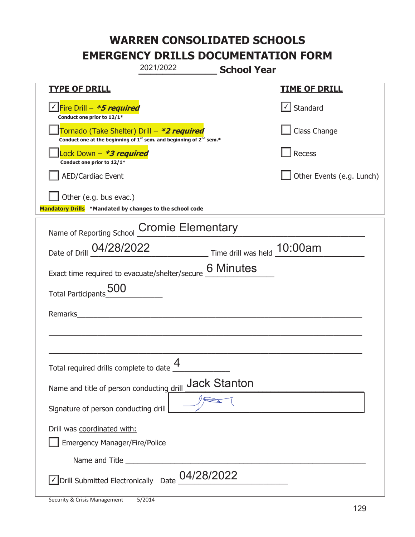|                                                                                    | 2021/2022                                                                                   | <b>School Year</b>  |                           |
|------------------------------------------------------------------------------------|---------------------------------------------------------------------------------------------|---------------------|---------------------------|
| <b>TYPE OF DRILL</b>                                                               |                                                                                             |                     | <b>TIME OF DRILL</b>      |
| <u>√ Fire Drill – <i>*5 required</i></u><br>Conduct one prior to 12/1*             |                                                                                             |                     | $\cup$ Standard           |
| Tornado (Take Shelter) Drill – *2 required                                         | Conduct one at the beginning of 1 <sup>st</sup> sem. and beginning of 2 <sup>nd</sup> sem.* |                     | Class Change              |
| Lock Down - <b>*3 required</b><br>Conduct one prior to 12/1*                       |                                                                                             |                     | Recess                    |
| <b>AED/Cardiac Event</b>                                                           |                                                                                             |                     | Other Events (e.g. Lunch) |
| Other (e.g. bus evac.)<br>Mandatory Drills *Mandated by changes to the school code |                                                                                             |                     |                           |
| Name of Reporting School Cromie Elementary                                         |                                                                                             |                     |                           |
| Date of Drill 04/28/2022 Time drill was held 10:00am                               |                                                                                             |                     |                           |
| Exact time required to evacuate/shelter/secure 6 Minutes                           |                                                                                             |                     |                           |
| <b>Total Participants</b>                                                          |                                                                                             |                     |                           |
| Remarks                                                                            |                                                                                             |                     |                           |
|                                                                                    |                                                                                             |                     |                           |
| Total required drills complete to date $\frac{4}{1}$                               |                                                                                             |                     |                           |
| Name and title of person conducting drill                                          |                                                                                             | <b>Jack Stanton</b> |                           |
| Signature of person conducting drill                                               |                                                                                             |                     |                           |
| Drill was coordinated with:<br><b>Emergency Manager/Fire/Police</b>                |                                                                                             |                     |                           |
|                                                                                    |                                                                                             |                     |                           |
| √ Drill Submitted Electronically Date                                              | 04/28/2022                                                                                  |                     |                           |

t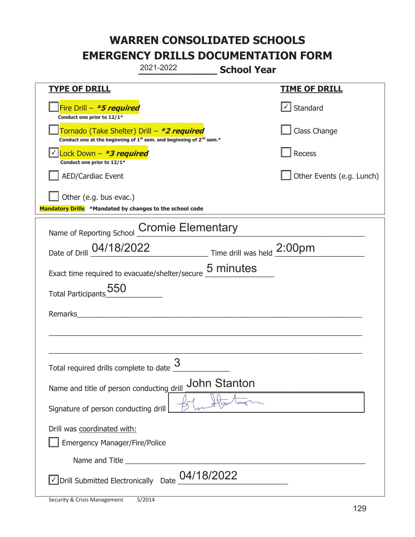|                                                                                                                                           | 2021-2022<br><b>School Year</b>                          |                               |
|-------------------------------------------------------------------------------------------------------------------------------------------|----------------------------------------------------------|-------------------------------|
| <b>TYPE OF DRILL</b>                                                                                                                      |                                                          | <b>TIME OF DRILL</b>          |
| Fire Drill - *5 required<br>Conduct one prior to 12/1*                                                                                    |                                                          | $\sqrt{\phantom{a}}$ Standard |
| Tornado (Take Shelter) Drill – *2 required<br>Conduct one at the beginning of 1 <sup>st</sup> sem. and beginning of 2 <sup>nd</sup> sem.* |                                                          | Class Change                  |
| Lock Down $-$ *3 required<br>Conduct one prior to 12/1*                                                                                   |                                                          | Recess                        |
| AED/Cardiac Event                                                                                                                         |                                                          | Other Events (e.g. Lunch)     |
| $\vert$ Other (e.g. bus evac.)<br>Mandatory Drills *Mandated by changes to the school code                                                |                                                          |                               |
| Name of Reporting School Cromie Elementary                                                                                                |                                                          |                               |
|                                                                                                                                           | Date of Drill 04/18/2022 Time drill was held 2:00pm      |                               |
|                                                                                                                                           | Exact time required to evacuate/shelter/secure 5 minutes |                               |
| Total Participants 550                                                                                                                    |                                                          |                               |
| Remarks                                                                                                                                   |                                                          |                               |
|                                                                                                                                           |                                                          |                               |
|                                                                                                                                           |                                                          |                               |
| Total required drills complete to date $\frac{3}{5}$                                                                                      |                                                          |                               |
| Name and title of person conducting drill                                                                                                 | <b>John Stanton</b>                                      |                               |
| Signature of person conducting drill                                                                                                      |                                                          |                               |
| Drill was coordinated with:                                                                                                               |                                                          |                               |
| <b>Emergency Manager/Fire/Police</b>                                                                                                      |                                                          |                               |
|                                                                                                                                           |                                                          |                               |
| √ Drill Submitted Electronically Date                                                                                                     | 04/18/2022                                               |                               |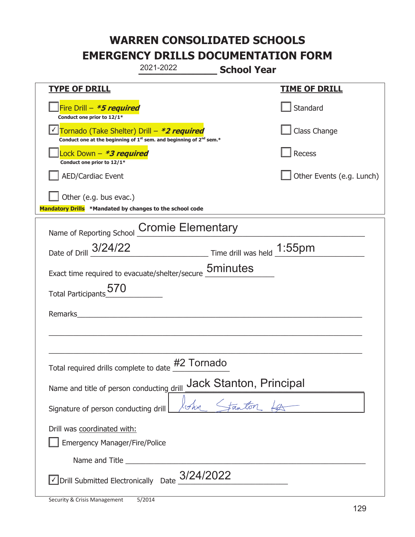|                                                                                    | 2021-2022                                                                                   | <b>School Year</b>             |                           |
|------------------------------------------------------------------------------------|---------------------------------------------------------------------------------------------|--------------------------------|---------------------------|
| <u>TYPE OF DRILL</u>                                                               |                                                                                             |                                | <b>TIME OF DRILL</b>      |
| Fire Drill $-$ <b>*5 required</b><br>Conduct one prior to 12/1*                    |                                                                                             |                                | Standard                  |
| Tornado (Take Shelter) Drill - *2 required                                         | Conduct one at the beginning of 1 <sup>st</sup> sem. and beginning of 2 <sup>nd</sup> sem.* |                                | Class Change              |
| Lock Down – <b>*3 required</b><br>Conduct one prior to 12/1*                       |                                                                                             |                                | Recess                    |
| <b>AED/Cardiac Event</b>                                                           |                                                                                             |                                | Other Events (e.g. Lunch) |
| Other (e.g. bus evac.)<br>Mandatory Drills *Mandated by changes to the school code |                                                                                             |                                |                           |
| Name of Reporting School                                                           | <b>Cromie Elementary</b>                                                                    |                                |                           |
| Date of Drill 3/24/22                                                              |                                                                                             |                                |                           |
| Exact time required to evacuate/shelter/secure 5minutes                            |                                                                                             |                                |                           |
| Total Participants 570                                                             |                                                                                             |                                |                           |
| Remarks                                                                            |                                                                                             |                                |                           |
|                                                                                    |                                                                                             |                                |                           |
| Total required drills complete to date                                             | #2 Tornado                                                                                  |                                |                           |
| Name and title of person conducting drill                                          |                                                                                             | <b>Jack Stanton, Principal</b> |                           |
| Signature of person conducting drill                                               |                                                                                             |                                |                           |
| Drill was coordinated with:<br><b>Emergency Manager/Fire/Police</b>                |                                                                                             |                                |                           |
|                                                                                    |                                                                                             |                                |                           |
|                                                                                    | Drill Submitted Electronically Date $\frac{3/24/2022}{ }$                                   |                                |                           |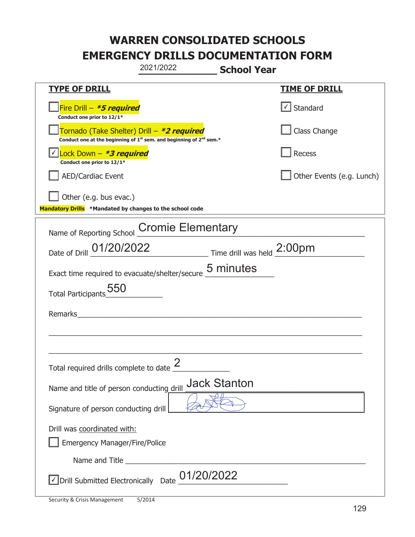|                                                                                                                                           | 2021/2022                | <b>School Year</b>  |                           |
|-------------------------------------------------------------------------------------------------------------------------------------------|--------------------------|---------------------|---------------------------|
| <b>TYPE OF DRILL</b>                                                                                                                      |                          |                     | <u>TIME OF DRILL</u>      |
| Fire Drill - *5 required<br>Conduct one prior to 12/1*                                                                                    |                          |                     | Standard                  |
| Tornado (Take Shelter) Drill – *2 required<br>Conduct one at the beginning of 1 <sup>st</sup> sem. and beginning of 2 <sup>nd</sup> sem.* |                          |                     | Class Change              |
| Lock Down - *3 required<br>Conduct one prior to 12/1*                                                                                     |                          |                     | <b>Recess</b>             |
| AED/Cardiac Event                                                                                                                         |                          |                     | Other Events (e.g. Lunch) |
| Other (e.g. bus evac.)<br>Mandatory Drills *Mandated by changes to the school code                                                        |                          |                     |                           |
| Name of Reporting School                                                                                                                  | <b>Cromie Elementary</b> |                     |                           |
| Date of Drill 01/20/2022 Time drill was held 2:00pm                                                                                       |                          |                     |                           |
| Exact time required to evacuate/shelter/secure 5 minutes                                                                                  |                          |                     |                           |
| Total Participants 550                                                                                                                    |                          |                     |                           |
| Remarks                                                                                                                                   |                          |                     |                           |
|                                                                                                                                           |                          |                     |                           |
| Total required drills complete to date $\frac{2}{3}$                                                                                      |                          |                     |                           |
| Name and title of person conducting drill                                                                                                 |                          | <b>Jack Stanton</b> |                           |
| Signature of person conducting drill                                                                                                      |                          |                     |                           |
| Drill was coordinated with:<br><b>Emergency Manager/Fire/Police</b>                                                                       |                          |                     |                           |
|                                                                                                                                           | Name and Title           |                     |                           |
| Drill Submitted Electronically Date<br>∣√                                                                                                 | 01/20/2022               |                     |                           |

t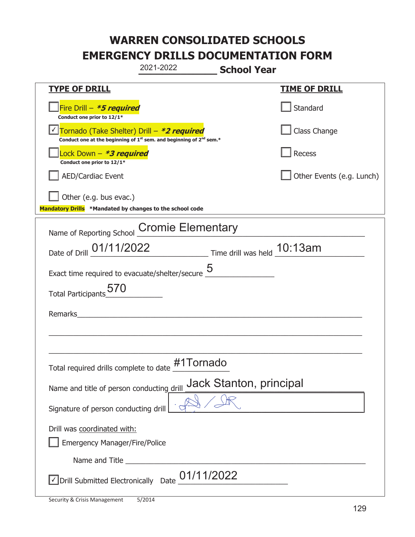|                                                                                    | 2021-2022                                                                                   | <b>School Year</b>      |                           |
|------------------------------------------------------------------------------------|---------------------------------------------------------------------------------------------|-------------------------|---------------------------|
| <u>TYPE OF DRILL</u>                                                               |                                                                                             |                         | <u>TIME OF DRILL</u>      |
| Fire Drill - *5 required<br>Conduct one prior to 12/1*                             |                                                                                             |                         | Standard                  |
| Tornado (Take Shelter) Drill - *2 required                                         | Conduct one at the beginning of 1 <sup>st</sup> sem. and beginning of 2 <sup>nd</sup> sem.* |                         | Class Change              |
| Lock Down - <b>*3 required</b><br>Conduct one prior to 12/1*                       |                                                                                             |                         | Recess                    |
| <b>AED/Cardiac Event</b>                                                           |                                                                                             |                         | Other Events (e.g. Lunch) |
| Other (e.g. bus evac.)<br>Mandatory Drills *Mandated by changes to the school code |                                                                                             |                         |                           |
| Name of Reporting School                                                           | <b>Cromie Elementary</b>                                                                    |                         |                           |
| Date of Drill 01/11/2022 Time drill was held 10:13am                               |                                                                                             |                         |                           |
| Exact time required to evacuate/shelter/secure $\underline{5}$                     |                                                                                             |                         |                           |
| Total Participants 5/0                                                             |                                                                                             |                         |                           |
| Remarks                                                                            |                                                                                             |                         |                           |
|                                                                                    |                                                                                             |                         |                           |
| Total required drills complete to date                                             | #1Tornado                                                                                   |                         |                           |
| Name and title of person conducting drill                                          |                                                                                             | Jack Stanton, principal |                           |
| Signature of person conducting drill                                               |                                                                                             |                         |                           |
| Drill was coordinated with:<br><b>Emergency Manager/Fire/Police</b>                |                                                                                             |                         |                           |
|                                                                                    |                                                                                             |                         |                           |
| √ Drill Submitted Electronically Date                                              | 01/11/2022                                                                                  |                         |                           |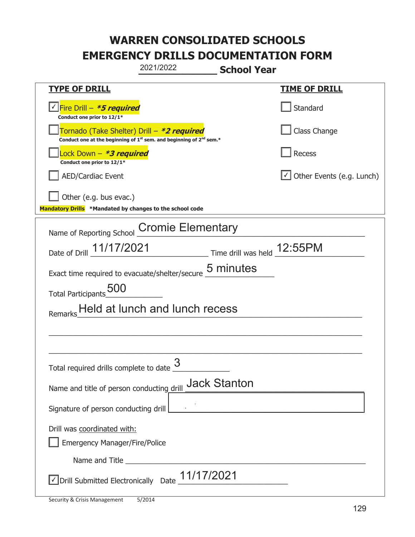|                                                                                                                                           | 2021/2022                      | <b>School Year</b>                                          |                                  |
|-------------------------------------------------------------------------------------------------------------------------------------------|--------------------------------|-------------------------------------------------------------|----------------------------------|
| <b>TYPE OF DRILL</b>                                                                                                                      |                                |                                                             | <u>TIME OF DRILL</u>             |
| <u>√ Fire Drill – <b>*5 required</b></u><br>Conduct one prior to 12/1*                                                                    |                                |                                                             | Standard                         |
| Tornado (Take Shelter) Drill – *2 required<br>Conduct one at the beginning of 1 <sup>st</sup> sem. and beginning of 2 <sup>nd</sup> sem.* |                                |                                                             | Class Change                     |
| Lock Down - <b>*3 required</b><br>Conduct one prior to 12/1*                                                                              |                                |                                                             | Recess                           |
| <b>AED/Cardiac Event</b>                                                                                                                  |                                |                                                             | $\cup$ Other Events (e.g. Lunch) |
| Other (e.g. bus evac.)<br>Mandatory Drills *Mandated by changes to the school code                                                        |                                |                                                             |                                  |
|                                                                                                                                           |                                |                                                             |                                  |
| Name of Reporting School                                                                                                                  | <b>Cromie Elementary</b>       |                                                             |                                  |
| Date of Drill 11/17/2021                                                                                                                  |                                | $\frac{12:55PM}{1}$ Time drill was held $\frac{12:55PM}{1}$ |                                  |
| Exact time required to evacuate/shelter/secure                                                                                            |                                | 5 minutes                                                   |                                  |
| Total Participants 500                                                                                                                    |                                |                                                             |                                  |
|                                                                                                                                           | Held at lunch and lunch recess |                                                             |                                  |
|                                                                                                                                           |                                |                                                             |                                  |
|                                                                                                                                           |                                |                                                             |                                  |
| Total required drills complete to date                                                                                                    | 3                              |                                                             |                                  |
| Name and title of person conducting drill                                                                                                 |                                | <b>Jack Stanton</b>                                         |                                  |
| Signature of person conducting drill                                                                                                      |                                | <u> 1980 - Johann Barbara, martxa alemaniar a</u>           |                                  |
| Drill was coordinated with:                                                                                                               |                                |                                                             |                                  |
| <b>Emergency Manager/Fire/Police</b>                                                                                                      |                                |                                                             |                                  |
|                                                                                                                                           |                                |                                                             |                                  |
| $\sqrt{2}$ Drill Submitted Electronically Date $\underline{11/17/2021}$                                                                   |                                |                                                             |                                  |

T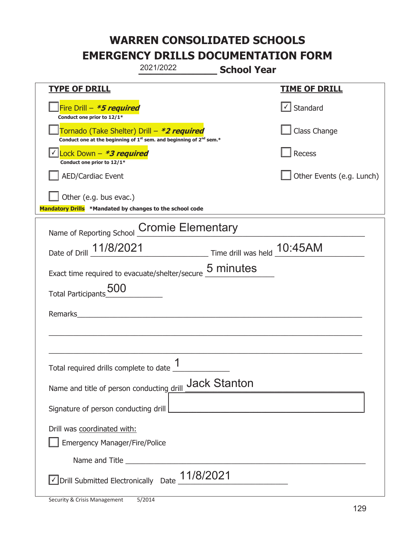|                                                                                    | 2021/2022                                                                                   | <b>School Year</b>          |                           |
|------------------------------------------------------------------------------------|---------------------------------------------------------------------------------------------|-----------------------------|---------------------------|
| <b>TYPE OF DRILL</b>                                                               |                                                                                             |                             | <u>TIME OF DRILL</u>      |
| Fire Drill - *5 required<br>Conduct one prior to 12/1*                             |                                                                                             |                             | $\cup$ Standard           |
| Tornado (Take Shelter) Drill – *2 required                                         | Conduct one at the beginning of 1 <sup>st</sup> sem. and beginning of 2 <sup>nd</sup> sem.* |                             | Class Change              |
| Lock Down - *3 required<br>Conduct one prior to 12/1*                              |                                                                                             |                             | Recess                    |
| <b>AED/Cardiac Event</b>                                                           |                                                                                             |                             | Other Events (e.g. Lunch) |
| Other (e.g. bus evac.)<br>Mandatory Drills *Mandated by changes to the school code |                                                                                             |                             |                           |
| Name of Reporting School Cromie Elementary                                         |                                                                                             |                             |                           |
| Date of Drill 11/8/2021                                                            |                                                                                             | Time drill was held 10:45AM |                           |
| Exact time required to evacuate/shelter/secure 5 minutes                           |                                                                                             |                             |                           |
| <b>Total Participants</b>                                                          |                                                                                             |                             |                           |
| Remarks                                                                            |                                                                                             |                             |                           |
|                                                                                    |                                                                                             |                             |                           |
| Total required drills complete to date $\frac{1}{1}$                               |                                                                                             |                             |                           |
|                                                                                    |                                                                                             | <b>Jack Stanton</b>         |                           |
| Name and title of person conducting drill                                          |                                                                                             |                             |                           |
| Signature of person conducting drill                                               |                                                                                             |                             |                           |
| Drill was coordinated with:<br><b>Emergency Manager/Fire/Police</b>                |                                                                                             |                             |                           |
|                                                                                    |                                                                                             |                             |                           |
| $\sqrt{\frac{1}{100}}$ Drill Submitted Electronically Date $\frac{11}{8}/8/2021$   |                                                                                             |                             |                           |

T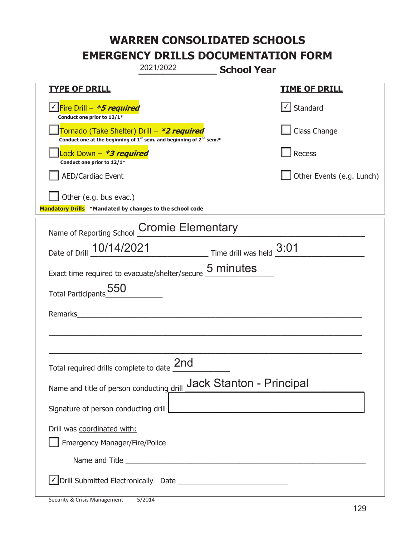|                                                                                    | 2021/2022                                                               | <b>School Year</b>                                                                                                    |                           |
|------------------------------------------------------------------------------------|-------------------------------------------------------------------------|-----------------------------------------------------------------------------------------------------------------------|---------------------------|
| <u>TYPE OF DRILL</u>                                                               |                                                                         |                                                                                                                       | <b>TIME OF DRILL</b>      |
| <u>√ Fire Drill – <i>*5 required</i></u><br>Conduct one prior to 12/1*             |                                                                         |                                                                                                                       | $\cup$ Standard           |
| Tornado (Take Shelter) Drill – *2 required                                         | Conduct one at the beginning of $1st$ sem. and beginning of $2nd$ sem.* |                                                                                                                       | Class Change              |
| Lock Down - *3 required<br>Conduct one prior to 12/1*                              |                                                                         |                                                                                                                       | Recess                    |
| <b>AED/Cardiac Event</b>                                                           |                                                                         |                                                                                                                       | Other Events (e.g. Lunch) |
| Other (e.g. bus evac.)<br>Mandatory Drills *Mandated by changes to the school code |                                                                         |                                                                                                                       |                           |
| Name of Reporting School                                                           | <b>Cromie Elementary</b>                                                |                                                                                                                       |                           |
| Date of Drill 10/14/2021 Time drill was held 3:01                                  |                                                                         |                                                                                                                       |                           |
| Exact time required to evacuate/shelter/secure 5 minutes                           |                                                                         |                                                                                                                       |                           |
| Total Participants 550                                                             |                                                                         |                                                                                                                       |                           |
| Remarks                                                                            |                                                                         |                                                                                                                       |                           |
|                                                                                    |                                                                         |                                                                                                                       |                           |
| Total required drills complete to date 2nd                                         |                                                                         |                                                                                                                       |                           |
| Name and title of person conducting drill Jack Stanton - Principal                 |                                                                         |                                                                                                                       |                           |
| Signature of person conducting drill                                               |                                                                         | <u> 1989 - Johann Barbara, martin amerikan basar dan berasal dalam basar dalam basar dalam basar dalam basar dala</u> |                           |
| Drill was coordinated with:<br><b>Emergency Manager/Fire/Police</b>                |                                                                         |                                                                                                                       |                           |
|                                                                                    |                                                                         |                                                                                                                       |                           |
|                                                                                    |                                                                         |                                                                                                                       |                           |